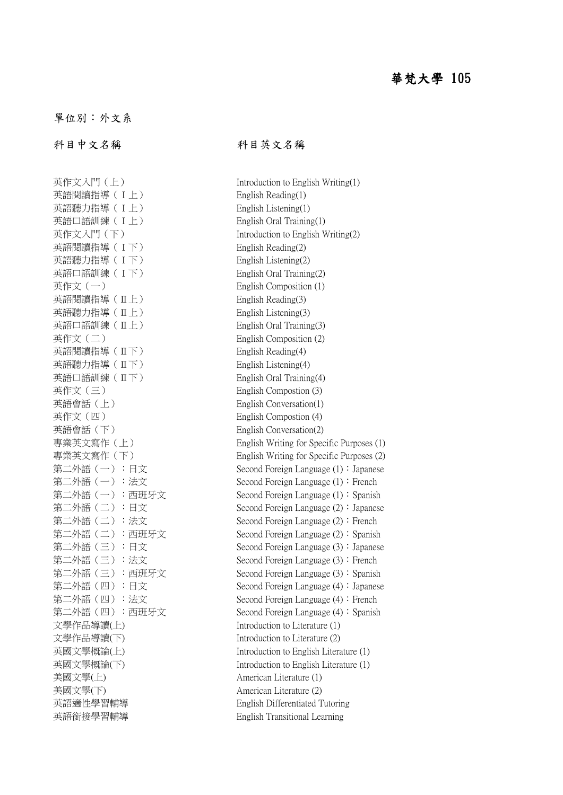## 華梵大學 105

單位別:外文系

科目中文名稱 科目英文名稱

英作文入門(上) Introduction to English Writing(1) 英語閱讀指導 (I上) English Reading(1) 英語聽力指導 (I上) English Listening(1) 英語口語訓練 (I上) English Oral Training(1) 英語閱讀指導 (I下) English Reading(2) 英語聽力指導 (I 下) English Listening(2) 英語口語訓練 (I下) English Oral Training(2) 英作文(一) English Composition (1) 英語閱讀指導(Ⅱ上) English Reading(3) 英語聽力指導(Ⅱ上) English Listening(3) 英語口語訓練(Ⅱ上) English Oral Training(3) 英作文(二) English Composition (2) 英語閱讀指導(Ⅱ下) English Reading(4) 英語聽力指導(Ⅱ下) English Listening(4) 英語口語訓練(Ⅱ下) English Oral Training(4) 英作文(三) English Compostion (3) 英語會話(上) English Conversation(1) 英作文(四) English Compostion (4) 英語會話(下) English Conversation(2) 文學作品導讀(上) Introduction to Literature (1) 文學作品導讀(下) Introduction to Literature (2) 美國文學(上) American Literature (1) 美國文學(下) American Literature (2) 英語銜接學習輔導 English Transitional Learning

英作文入門(下) Introduction to English Writing(2) 專業英文寫作(上) English Writing for Specific Purposes (1) 專業英文寫作(下) English Writing for Specific Purposes (2) 第二外語(一):日文 Second Foreign Language (1):Japanese 第二外語(一):法文 Second Foreign Language (1):French 第二外語(一):西班牙文 Second Foreign Language (1):Spanish 第二外語(二):日文 Second Foreign Language (2):Japanese 第二外語(二):法文 Second Foreign Language (2):French 第二外語(二): 西班牙文 Second Foreign Language (2): Spanish 第二外語(三):日文 Second Foreign Language (3):Japanese 第二外語(三):法文 Second Foreign Language (3):French 第二外語(三):西班牙文 Second Foreign Language (3):Spanish 第二外語(四):日文 Second Foreign Language (4):Japanese 第二外語(四):法文 Second Foreign Language (4):French 第二外語(四):西班牙文 Second Foreign Language (4):Spanish 英國文學概論(上) Introduction to English Literature (1) 英國文學概論(下) Introduction to English Literature (1) 英語適性學習輔導 English Differentiated Tutoring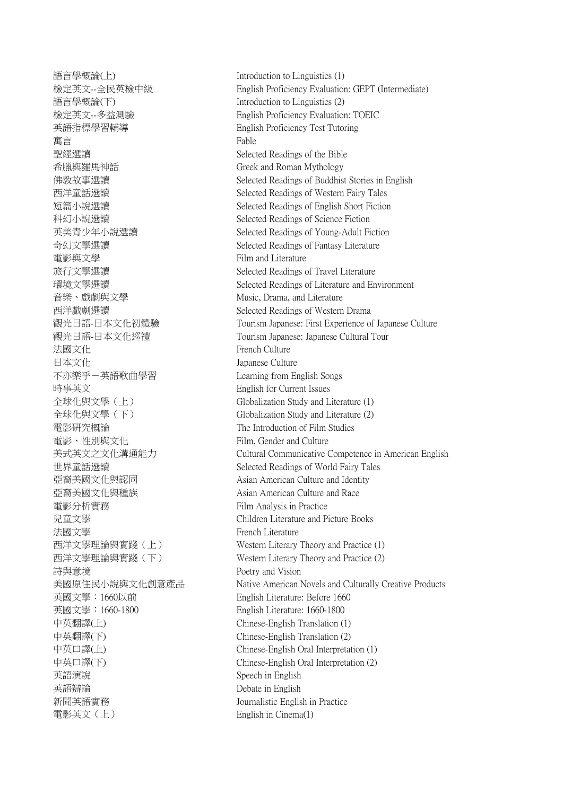語言學概論(上) Introduction to Linguistics (1) 語言學概論(下) Introduction to Linguistics (2) 英語指標學習輔導 English Proficiency Test Tutoring 寓言 Fable 聖經選讀 Selected Readings of the Bible 希臘與羅馬神話 Greek and Roman Mythology 電影與文學 Film and Literature 音樂、戲劇與文學 Music, Drama, and Literature 法國文化<br>
French Culture 日本文化 Japanese Culture 不亦樂乎-英語歌曲學習 Learning from English Songs 時事英文 English for Current Issues 電影研究概論 The Introduction of Film Studies 電影、性別與文化 Film, Gender and Culture 亞裔美國文化與種族 Asian American Culture and Race 電影分析實務 Film Analysis in Practice 法國文學 French Literature 詩與意境 Poetry and Vision 英國文學:1660以前 English Literature: Before 1660 英國文學:1660-1800 English Literature: 1660-1800 中英翻譯(上) Chinese-English Translation (1) 中英翻譯(下) Chinese-English Translation (2) **英語演說** Speech in English 英語辯論 Debate in English 新聞英語實務 Journalistic English in Practice 電影英文(上) English in Cinema(1)

檢定英文--全民英檢中級 English Proficiency Evaluation: GEPT (Intermediate) 檢定英文--多益測驗 English Proficiency Evaluation: TOEIC 佛教故事選讀 Selected Readings of Buddhist Stories in English 西洋童話選讀 Selected Readings of Western Fairy Tales 短篇小說選讀 Selected Readings of English Short Fiction 科幻小說選讀 Selected Readings of Science Fiction 英美青少年小說選讀 Selected Readings of Young-Adult Fiction 奇幻文學選讀 Selected Readings of Fantasy Literature 旅行文學選讀 Selected Readings of Travel Literature 環境文學選讀 Selected Readings of Literature and Environment 西洋戲劇選讀 Selected Readings of Western Drama 觀光日語-日本文化初體驗 Tourism Japanese: First Experience of Japanese Culture 觀光日語-日本文化巡禮 Tourism Japanese: Japanese Cultural Tour 全球化與文學(上) Globalization Study and Literature (1) 全球化與文學(下) Globalization Study and Literature (2) 美式英文之文化溝通能力 Cultural Communicative Competence in American English 世界童話選讀 Selected Readings of World Fairy Tales 亞裔美國文化與認同 **Asian American Culture and Identity** 兒童文學 Children Literature and Picture Books 西洋文學理論與實踐(上) Western Literary Theory and Practice (1) 西洋文學理論與實踐(下) Western Literary Theory and Practice (2) 美國原住民小說與文化創意產品 Native American Novels and Culturally Creative Products 中英口譯(上) Chinese-English Oral Interpretation (1) 中英口譯(下) Chinese-English Oral Interpretation (2)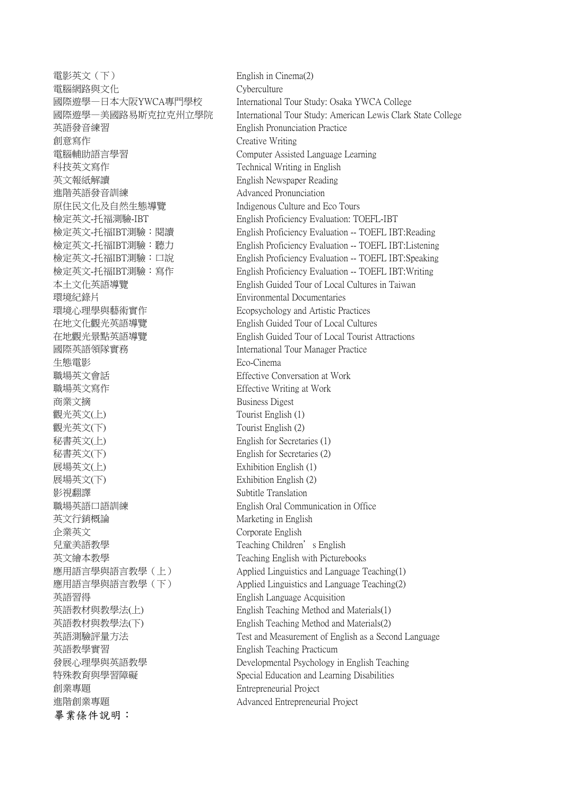電影英文(下) English in Cinema(2) 電腦網路與文化 Cyberculture 英語發音練習 English Pronunciation Practice 創意寫作 Creative Writing 電腦輔助語言學習 Computer Assisted Language Learning 科技英文寫作 Technical Writing in English 英文報紙解讀 English Newspaper Reading 進階英語發音訓練 Advanced Pronunciation 原住民文化及自然生態導覽 Indigenous Culture and Eco Tours 環境紀錄片 Environmental Documentaries 環境心理學與藝術實作 Ecopsychology and Artistic Practices 在地文化觀光英語導覽 English Guided Tour of Local Cultures 國際英語領隊實務 International Tour Manager Practice 生態電影 Eco-Cinema 職場英文會話 Effective Conversation at Work 職場英文寫作 Effective Writing at Work 商業文摘 Business Digest 觀光英文(上) Tourist English (1) 觀光英文(下) Tourist English (2) 秘書英文(上) English for Secretaries (1) 秘書英文(下) English for Secretaries (2) 展場英文(上) Exhibition English (1) 展場英文(下) Exhibition English (2) 影視翻譯 Subtitle Translation 職場英語口語訓練 English Oral Communication in Office 英文行銷概論 インファイン Marketing in English 企業英文 Corporate English 兒童美語教學 Teaching Children's English 英文繪本教學 Teaching English with Picturebooks 英語習得 English Language Acquisition 英語教學實習 English Teaching Practicum 創業專題 Entrepreneurial Project 進階創業專題 Advanced Entrepreneurial Project 畢業條件說明:

國際遊學—日本大阪YWCA專門學校 International Tour Study: Osaka YWCA College 國際遊學—美國路易斯克拉克州立學院 International Tour Study: American Lewis Clark State College 檢定英文-托福測驗-IBT English Proficiency Evaluation: TOEFL-IBT 檢定英文-托福IBT測驗:閱讀 English Proficiency Evaluation -- TOEFL IBT:Reading 檢定英文-托福IBT測驗:聽力 English Proficiency Evaluation -- TOEFL IBT:Listening 檢定英文-托福IBT測驗:口說 English Proficiency Evaluation -- TOEFL IBT:Speaking 檢定英文-托福IBT測驗:寫作 English Proficiency Evaluation -- TOEFL IBT:Writing 本土文化英語導覽 English Guided Tour of Local Cultures in Taiwan 在地觀光景點英語導覽 English Guided Tour of Local Tourist Attractions 應用語言學與語言教學(上) Applied Linguistics and Language Teaching(1) 應用語言學與語言教學(下) Applied Linguistics and Language Teaching(2) 英語教材與教學法(上) English Teaching Method and Materials(1) 英語教材與教學法(下) English Teaching Method and Materials(2) 英語測驗評量方法 Test and Measurement of English as a Second Language 發展心理學與英語教學 Developmental Psychology in English Teaching 特殊教育與學習障礙 Special Education and Learning Disabilities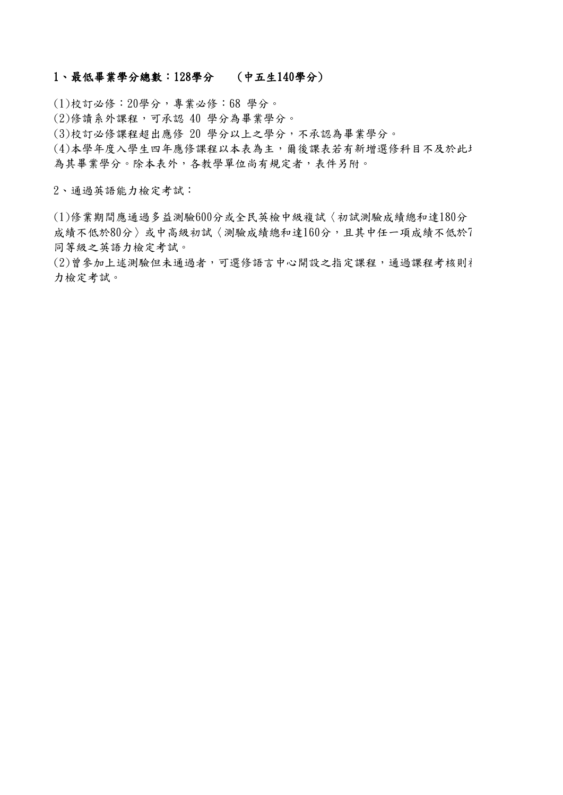## 1、最低畢業學分總數:128學分 (中五生140學分)

(1)校訂必修:20學分,專業必修:68 學分。

(2)修讀系外課程,可承認 40 學分為畢業學分。

(3)校訂必修課程超出應修 20 學分以上之學分,不承認為畢業學分。

(4)本學年度入學生四年應修課程以本表為主,爾後課表若有新增選修科目不及於此 為其畢業學分。除本表外,各教學單位尚有規定者,表件另附。

2、通過英語能力檢定考試:

(1)修業期間應通過多益測驗600分或全民英檢中級複試〈初試測驗成績總和達180分 成績不低於80分〉或中高級初試〈測驗成績總和達160分,且其中任一項成績不低於7 同等級之英語力檢定考試。

(2)曾參加上述測驗但未通過者,可選修語言中心開設之指定課程,通過課程考核則礼 力檢定考試。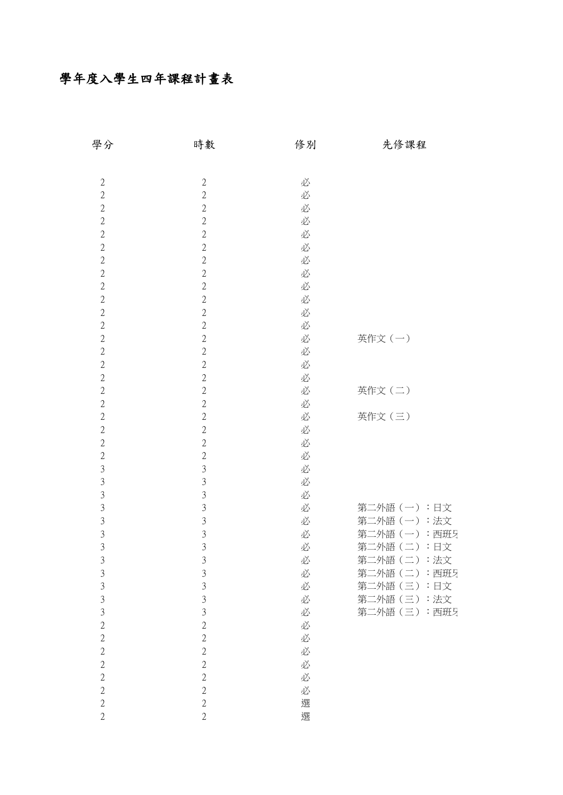## 學年度入學生四年課程計畫表

| 學分             | 時數             | 修別 | 先修課程                  |
|----------------|----------------|----|-----------------------|
|                |                |    |                       |
| $\sqrt{2}$     | $\sqrt{2}$     | 必  |                       |
| $\sqrt{2}$     | $\overline{2}$ | 必  |                       |
| $\sqrt{2}$     | $\sqrt{2}$     | 必  |                       |
| $\overline{2}$ | $\overline{2}$ | 必  |                       |
| $\sqrt{2}$     | $\sqrt{2}$     | 必  |                       |
| $\sqrt{2}$     | $\sqrt{2}$     | 必  |                       |
| $\overline{2}$ | $\overline{2}$ | 必  |                       |
| $\sqrt{2}$     | $\sqrt{2}$     | 必  |                       |
| $\sqrt{2}$     | $\sqrt{2}$     | 必  |                       |
| $\sqrt{2}$     | $\overline{2}$ | 必  |                       |
| $\sqrt{2}$     | $\sqrt{2}$     | 必  |                       |
| $\sqrt{2}$     | $\sqrt{2}$     | 必  |                       |
| $\sqrt{2}$     | $\sqrt{2}$     | 必  | 英作文(一)                |
| $\sqrt{2}$     | $\sqrt{2}$     | 必  |                       |
| $\sqrt{2}$     | $\sqrt{2}$     | 必  |                       |
| $\sqrt{2}$     | $\sqrt{2}$     | 必  |                       |
| $\overline{2}$ | $\overline{2}$ | 必  | 英作文(二)                |
| $\sqrt{2}$     | $\sqrt{2}$     | 必  |                       |
| $\overline{2}$ | $\sqrt{2}$     | 必  | 英作文(三)                |
| $\sqrt{2}$     | $\overline{2}$ | 必  |                       |
| $\sqrt{2}$     | $\sqrt{2}$     | 必  |                       |
| $\sqrt{2}$     | $\sqrt{2}$     | 必  |                       |
| $\mathfrak{Z}$ | $\mathfrak{Z}$ | 必  |                       |
| $\mathfrak{Z}$ | $\mathfrak{Z}$ | 必  |                       |
| $\overline{3}$ | $\mathfrak{Z}$ | 必  |                       |
| $\mathfrak{Z}$ | $\sqrt{3}$     | 必  | 第二外語(一):日文            |
| $\mathfrak{Z}$ | $\mathfrak{Z}$ | 必  | 第二外語(一):法文            |
| $\overline{3}$ | 3              | 必  | 第二外語<br>:西班牙<br>$(-)$ |
| 3              | $\overline{3}$ | 必  | 第二外語(二):日文            |
| $\mathfrak{Z}$ | $\mathfrak{Z}$ | 必  | 第二外語(二):法文            |
| $\mathfrak{Z}$ | $\mathfrak{Z}$ | 必  | 第二外語(二):西班牙           |
| $\overline{3}$ | $\overline{3}$ | 必  | 第二外語(三):日文            |
| $\overline{3}$ | 3              | 必  | 第二外語(三):法文            |
| $\overline{3}$ | $\overline{3}$ | 必  | 第二外語(三):西班牙           |
| $\overline{2}$ | $\overline{2}$ | 必  |                       |
| $\overline{2}$ | $\overline{2}$ | 必  |                       |
| $\overline{2}$ | $\overline{2}$ | 必  |                       |
| $\sqrt{2}$     | $\overline{2}$ |    |                       |
| $\overline{2}$ |                | 必  |                       |
|                | $\overline{2}$ | 必  |                       |
| $\overline{2}$ | $\overline{2}$ | 必  |                       |
| $\sqrt{2}$     | $\overline{2}$ | 選  |                       |
| $\overline{2}$ | $\overline{2}$ | 選  |                       |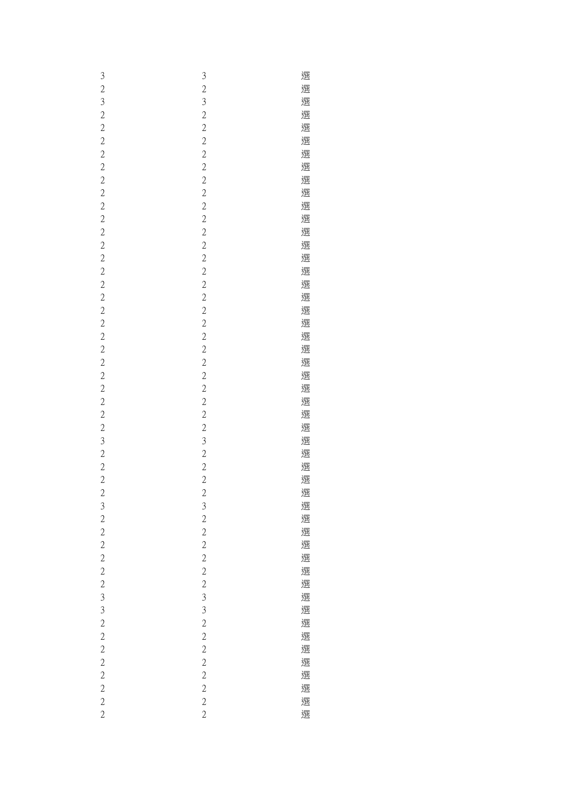| 3              | $\mathfrak{Z}$                             | 選 |
|----------------|--------------------------------------------|---|
| $\overline{c}$ | $\overline{c}$                             | 選 |
| $\mathfrak{Z}$ | $\mathfrak{Z}$                             | 選 |
| $\overline{c}$ |                                            | 選 |
| $\overline{c}$ | $\begin{array}{c} 2 \\ 2 \\ 2 \end{array}$ | 選 |
| $\overline{c}$ |                                            | 選 |
| $\overline{c}$ | $\overline{c}$                             | 選 |
| $\overline{c}$ | $\overline{c}$                             | 選 |
| $\overline{c}$ | $\overline{c}$                             | 選 |
| $\overline{c}$ | $\overline{c}$                             | 選 |
| $\overline{c}$ |                                            | 選 |
| $\overline{c}$ | $\frac{2}{2}$                              | 選 |
|                | $\overline{c}$                             | 選 |
| $\overline{c}$ |                                            |   |
| $\overline{c}$ | $\frac{2}{2}$                              | 選 |
| $\overline{c}$ |                                            | 選 |
| $\overline{c}$ | $\overline{c}$                             | 選 |
| $\overline{c}$ | $\overline{c}$                             | 選 |
| $\overline{c}$ | $\begin{array}{c} 2 \\ 2 \\ 2 \end{array}$ | 選 |
| $\overline{c}$ |                                            | 選 |
| $\overline{c}$ |                                            | 選 |
| $\overline{c}$ | $\overline{c}$                             | 選 |
| $\overline{c}$ | $\overline{c}$                             | 選 |
| $\overline{c}$ | $\overline{c}$                             | 選 |
| $\overline{c}$ |                                            | 選 |
| $\overline{c}$ | $\frac{2}{2}$                              | 選 |
| $\overline{c}$ | $\overline{c}$                             | 選 |
| $\overline{c}$ | $\overline{c}$                             | 選 |
| $\overline{c}$ | $\overline{c}$                             | 選 |
| 3              | $\overline{3}$                             | 選 |
| $\overline{c}$ | $\overline{c}$                             | 選 |
| $\overline{c}$ |                                            | 選 |
| $\overline{c}$ | $\frac{2}{2}$                              | 選 |
| $\overline{c}$ | $\overline{\mathbf{c}}$                    | 選 |
| $\mathfrak{Z}$ |                                            | 選 |
| $\overline{c}$ | $\frac{3}{2}$                              | 選 |
| $\overline{c}$ |                                            | 選 |
| $\overline{c}$ | $\frac{2}{2}$                              | 選 |
| $\overline{c}$ | $\overline{c}$                             | 選 |
| $\overline{c}$ | $\overline{c}$                             | 選 |
| $\overline{c}$ | $\overline{c}$                             | 選 |
| $\mathfrak{Z}$ | $\overline{3}$                             | 選 |
| $\mathfrak{Z}$ | $\overline{3}$                             | 選 |
| $\overline{c}$ | $\overline{c}$                             | 選 |
| $\overline{c}$ |                                            | 選 |
| $\overline{c}$ | $\frac{2}{2}$                              | 選 |
|                |                                            |   |
| $\overline{c}$ | $\overline{c}$                             | 選 |
| $\overline{c}$ | $\overline{c}$                             | 選 |
| $\overline{c}$ | $\frac{2}{2}$                              | 選 |
| $\overline{c}$ |                                            | 選 |
| $\overline{c}$ | $\overline{c}$                             | 選 |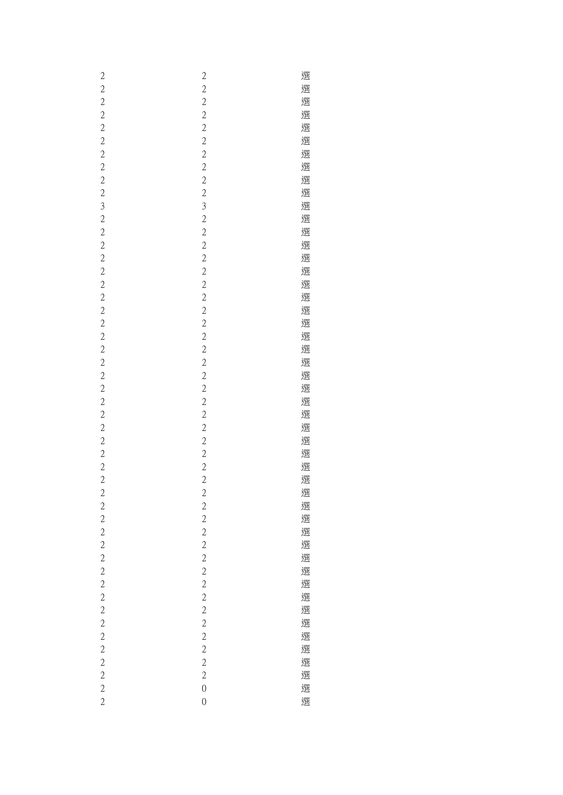| $\overline{c}$          | $\overline{c}$ | 選 |
|-------------------------|----------------|---|
| $\overline{c}$          | $\overline{c}$ | 選 |
|                         |                | 選 |
| $\overline{c}$          | $\overline{c}$ |   |
| $\overline{c}$          | $\frac{2}{2}$  | 選 |
| $\overline{c}$          |                | 選 |
| $\overline{c}$          | $\overline{c}$ | 選 |
| $\overline{\mathbf{c}}$ | $\overline{c}$ | 選 |
| $\overline{c}$          | $\overline{c}$ | 選 |
|                         |                |   |
| $\overline{c}$          | $\frac{2}{2}$  | 選 |
| $\overline{c}$          |                | 選 |
| 3                       |                | 選 |
| $\overline{c}$          | $\frac{3}{2}$  | 選 |
| $\overline{c}$          | $\overline{c}$ | 選 |
| $\overline{c}$          | $\overline{c}$ | 選 |
|                         |                |   |
| $\overline{c}$          | $\overline{c}$ | 選 |
| $\overline{c}$          | $\overline{c}$ | 選 |
| $\overline{\mathbf{c}}$ | $\frac{2}{2}$  | 選 |
| $\overline{c}$          |                | 選 |
| $\overline{c}$          | $\overline{c}$ | 選 |
| $\overline{c}$          | $\overline{c}$ | 選 |
|                         |                |   |
| $\overline{c}$          | $\overline{c}$ | 選 |
| $\overline{c}$          | $\overline{c}$ | 選 |
| $\overline{c}$          | $\overline{c}$ | 選 |
| $\overline{c}$          |                | 選 |
| $\overline{c}$          | $\frac{2}{2}$  | 選 |
| $\overline{c}$          | $\overline{c}$ | 選 |
|                         |                |   |
| $\overline{c}$          | $\overline{c}$ | 選 |
| $\overline{c}$          | $\overline{c}$ | 選 |
| $\overline{c}$          | $\overline{c}$ | 選 |
| $\overline{c}$          | $\overline{c}$ | 選 |
| $\overline{c}$          |                | 選 |
| $\overline{c}$          | $\frac{2}{2}$  | 選 |
|                         |                |   |
| $\overline{c}$          | $\overline{c}$ | 選 |
| $\overline{c}$          | $\frac{2}{2}$  | 選 |
| $\overline{c}$          |                | 選 |
| $\overline{c}$          | $\frac{2}{2}$  | 選 |
| $\overline{c}$          |                | 選 |
| $\overline{c}$          | $\overline{c}$ | 選 |
|                         |                |   |
| $\overline{c}$          | $\overline{c}$ | 選 |
| $\overline{c}$          | $\overline{c}$ | 選 |
| $\overline{c}$          | $\frac{2}{2}$  | 選 |
| $\overline{c}$          |                | 選 |
| $\overline{c}$          | $\overline{c}$ | 選 |
| $\overline{c}$          | $\overline{c}$ | 選 |
|                         |                |   |
| $\overline{c}$          | $\overline{c}$ | 選 |
| $\overline{c}$          | $\overline{c}$ | 選 |
| $\overline{c}$          | $\overline{c}$ | 選 |
| $\overline{c}$          | $\overline{0}$ | 選 |
| $\overline{c}$          | $\mathbf{0}$   | 選 |
|                         |                |   |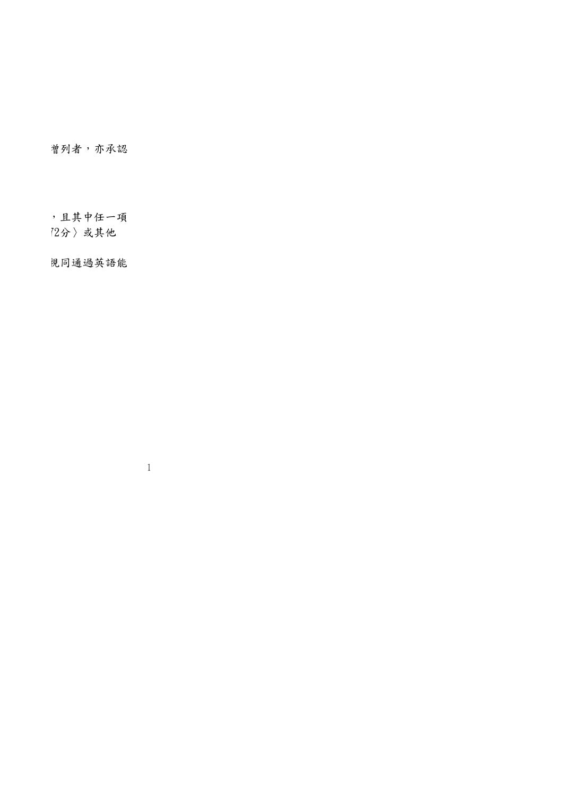曾列者,亦承認

) 且其中任一項 (2分)或其他

見同通過英語能

1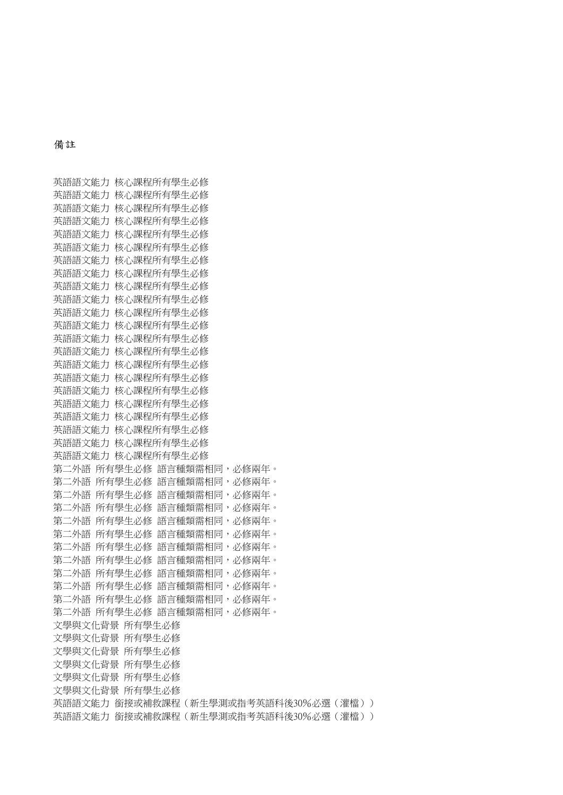## 備註

英語語文能力 核心課程所有學生必修 英語語文能力 核心課程所有學生必修 英語語文能力 核心課程所有學生必修 英語語文能力 核心課程所有學生必修 英語語文能力 核心課程所有學生必修 英語語文能力 核心課程所有學生必修 英語語文能力 核心課程所有學生必修 英語語文能力 核心課程所有學生必修 英語語文能力 核心課程所有學生必修 英語語文能力 核心課程所有學生必修 英語語文能力 核心課程所有學生必修 英語語文能力 核心課程所有學生必修 英語語文能力 核心課程所有學生必修 英語語文能力 核心課程所有學生必修 英語語文能力 核心課程所有學生必修 英語語文能力 核心課程所有學生必修 英語語文能力 核心課程所有學生必修 英語語文能力 核心課程所有學生必修 英語語文能力 核心課程所有學生必修 英語語文能力 核心課程所有學生必修 英語語文能力 核心課程所有學生必修 英語語文能力 核心課程所有學生必修 第二外語 所有學生必修 語言種類需相同,必修兩年。 第二外語 所有學生必修 語言種類需相同,必修兩年。 第二外語 所有學生必修 語言種類需相同,必修兩年。 第二外語 所有學生必修 語言種類需相同,必修兩年。 第二外語 所有學生必修 語言種類需相同,必修兩年。 第二外語 所有學生必修 語言種類需相同,必修兩年。 第二外語 所有學生必修 語言種類需相同,必修兩年。 第二外語 所有學生必修 語言種類需相同,必修兩年。 第二外語 所有學生必修 語言種類需相同,必修兩年。 第二外語 所有學生必修 語言種類需相同,必修兩年。 第二外語 所有學生必修 語言種類需相同,必修兩年。 第二外語 所有學生必修 語言種類需相同,必修兩年。 文學與文化背景 所有學生必修 文學與文化背景 所有學生必修 文學與文化背景 所有學生必修 文學與文化背景 所有學生必修 文學與文化背景 所有學生必修 文學與文化背景 所有學生必修 英語語文能力 銜接或補救課程(新生學測或指考英語科後30%必選(灌檔)) 英語語文能力 銜接或補救課程(新生學測或指考英語科後30%必選(灌檔))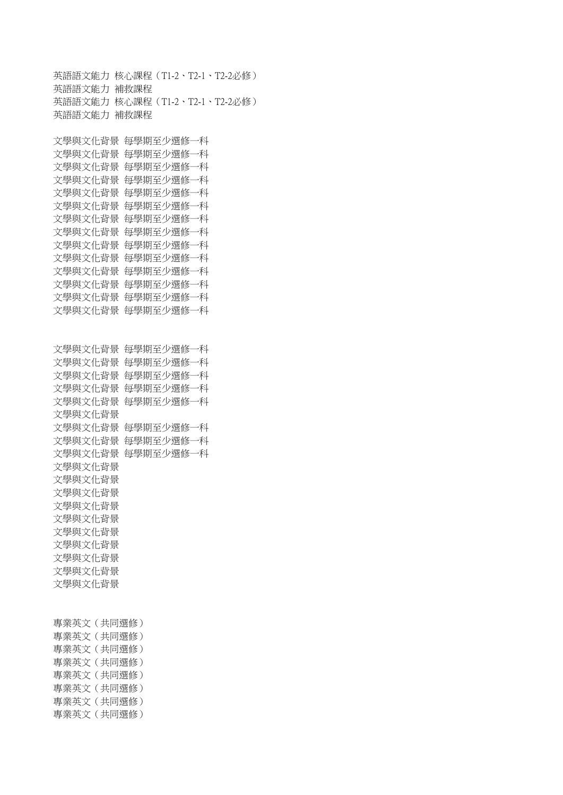英語語文能力 核心課程(T1-2、T2-1、T2-2必修) 英語語文能力 補救課程 英語語文能力 核心課程(T1-2、T2-1、T2-2必修) 英語語文能力 補救課程 文學與文化背景 每學期至少選修一科 文學與文化背景 每學期至少選修一科 文學與文化背景 每學期至少選修一科 文學與文化背景 每學期至少選修一科 文學與文化背景 每學期至少選修一科 文學與文化背景 每學期至少選修一科 文學與文化背景 每學期至少選修一科 文學與文化背景 每學期至少選修一科 文學與文化背景 每學期至少選修一科 文學與文化背景 每學期至少選修一科 文學與文化背景 每學期至少選修一科 文學與文化背景 每學期至少選修一科 文學與文化背景 每學期至少選修一科 文學與文化背景 每學期至少選修一科 文學與文化背景 每學期至少選修一科 文學與文化背景 每學期至少選修一科 文學與文化背景 每學期至少選修一科 文學與文化背景 每學期至少選修一科 文學與文化背景 每學期至少選修一科 文學與文化背景 文學與文化背景 每學期至少選修一科 文學與文化背景 每學期至少選修一科 文學與文化背景 每學期至少選修一科 文學與文化背景 文學與文化背景 文學與文化背景 文學與文化背景 文學與文化背景 文學與文化背景 文學與文化背景 文學與文化背景 文學與文化背景 文學與文化背景 專業英文(共同選修) 專業英文(共同選修) 專業英文(共同選修) 專業英文(共同選修) 專業英文(共同選修) 專業英文(共同選修) 專業英文(共同選修) 專業英文(共同選修)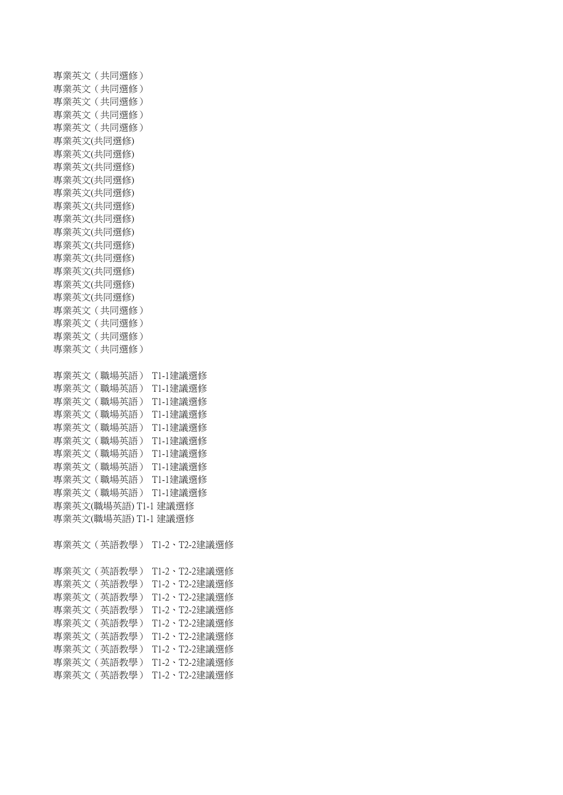專業英文(共同選修) 專業英文(共同選修) 專業英文(共同選修) 專業英文(共同選修) 專業英文(共同選修) 專業英文(共同選修) 專業英文(共同選修) 專業英文(共同選修) 專業英文(共同選修) 專業英文(共同選修) 專業英文(共同選修) 專業英文(共同選修) 專業英文(共同選修) 專業英文(共同選修) 專業英文(共同選修) 專業英文(共同選修) 專業英文(共同選修) 專業英文(共同選修) 專業英文(共同選修) 專業英文(共同選修) 專業英文(共同選修) 專業英文(共同選修) 專業英文(職場英語) T1-1建議選修 專業英文(職場英語) T1-1建議選修 專業英文(職場英語) T1-1建議選修 專業英文(職場英語) T1-1建議選修 專業英文(職場英語) T1-1建議選修 專業英文(職場英語) T1-1建議選修 專業英文(職場英語) T1-1建議選修 專業英文(職場英語) T1-1建議選修 專業英文(職場英語) T1-1建議選修 專業英文(職場英語) T1-1建議選修 專業英文(職場英語) T1-1 建議選修 專業英文(職場英語) T1-1 建議選修 專業英文(英語教學) T1-2、T2-2建議選修 專業英文(英語教學) T1-2、T2-2建議選修 專業英文(英語教學) T1-2、T2-2建議選修 專業英文(英語教學) T1-2、T2-2建議選修

專業英文(英語教學) T1-2、T2-2建議選修 專業英文(英語教學) T1-2、T2-2建議選修 專業英文(英語教學) T1-2、T2-2建議選修 專業英文(英語教學) T1-2、T2-2建議選修 專業英文(英語教學) T1-2、T2-2建議選修 專業英文(英語教學) T1-2、T2-2建議選修